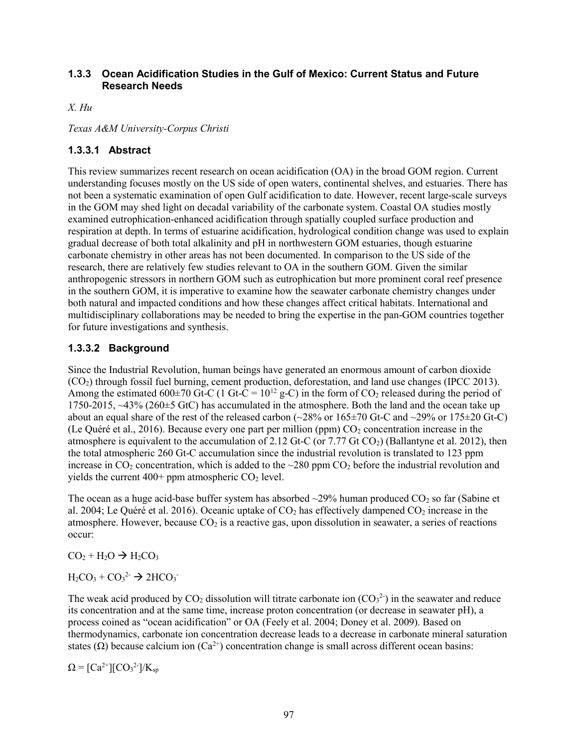#### **1.3.3 Ocean Acidification Studies in the Gulf of Mexico: Current Status and Future Research Needs**

*X. Hu* 

*Texas A&M University-Corpus Christi* 

#### **1.3.3.1 Abstract**

This review summarizes recent research on ocean acidification (OA) in the broad GOM region. Current understanding focuses mostly on the US side of open waters, continental shelves, and estuaries. There has not been a systematic examination of open Gulf acidification to date. However, recent large-scale surveys in the GOM may shed light on decadal variability of the carbonate system. Coastal OA studies mostly examined eutrophication-enhanced acidification through spatially coupled surface production and respiration at depth. In terms of estuarine acidification, hydrological condition change was used to explain gradual decrease of both total alkalinity and pH in northwestern GOM estuaries, though estuarine carbonate chemistry in other areas has not been documented. In comparison to the US side of the research, there are relatively few studies relevant to OA in the southern GOM. Given the similar anthropogenic stressors in northern GOM such as eutrophication but more prominent coral reef presence in the southern GOM, it is imperative to examine how the seawater carbonate chemistry changes under both natural and impacted conditions and how these changes affect critical habitats. International and multidisciplinary collaborations may be needed to bring the expertise in the pan-GOM countries together for future investigations and synthesis.

## **1.3.3.2 Background**

Since the Industrial Revolution, human beings have generated an enormous amount of carbon dioxide (CO2) through fossil fuel burning, cement production, deforestation, and land use changes (IPCC 2013). Among the estimated 600 $\pm$ 70 Gt-C (1 Gt-C = 10<sup>12</sup> g-C) in the form of CO<sub>2</sub> released during the period of 1750-2015, ~43% (260±5 GtC) has accumulated in the atmosphere. Both the land and the ocean take up about an equal share of the rest of the released carbon  $(\sim 28\%$  or  $165\pm 70$  Gt-C and  $\sim 29\%$  or  $175\pm 20$  Gt-C) (Le Quéré et al., 2016). Because every one part per million (ppm)  $CO<sub>2</sub>$  concentration increase in the atmosphere is equivalent to the accumulation of 2.12 Gt-C (or 7.77 Gt  $CO<sub>2</sub>$ ) (Ballantyne et al. 2012), then the total atmospheric 260 Gt-C accumulation since the industrial revolution is translated to 123 ppm increase in  $CO_2$  concentration, which is added to the  $\sim$ 280 ppm  $CO_2$  before the industrial revolution and yields the current  $400+$  ppm atmospheric  $CO<sub>2</sub>$  level.

The ocean as a huge acid-base buffer system has absorbed  $\sim$ 29% human produced CO<sub>2</sub> so far (Sabine et al. 2004; Le Quéré et al. 2016). Oceanic uptake of  $CO<sub>2</sub>$  has effectively dampened  $CO<sub>2</sub>$  increase in the atmosphere. However, because  $CO<sub>2</sub>$  is a reactive gas, upon dissolution in seawater, a series of reactions occur:

 $CO<sub>2</sub> + H<sub>2</sub>O \rightarrow H<sub>2</sub>CO<sub>3</sub>$ 

 $H_2CO_3 + CO_3^2 \rightarrow 2HCO_3$ 

The weak acid produced by  $CO_2$  dissolution will titrate carbonate ion  $(CO_3^2)$  in the seawater and reduce its concentration and at the same time, increase proton concentration (or decrease in seawater pH), a process coined as "ocean acidification" or OA (Feely et al. 2004; Doney et al. 2009). Based on thermodynamics, carbonate ion concentration decrease leads to a decrease in carbonate mineral saturation states ( $\Omega$ ) because calcium ion ( $Ca^{2+}$ ) concentration change is small across different ocean basins:

 $\Omega = [Ca^{2+}][CO_3^{2-}]/K_{sp}$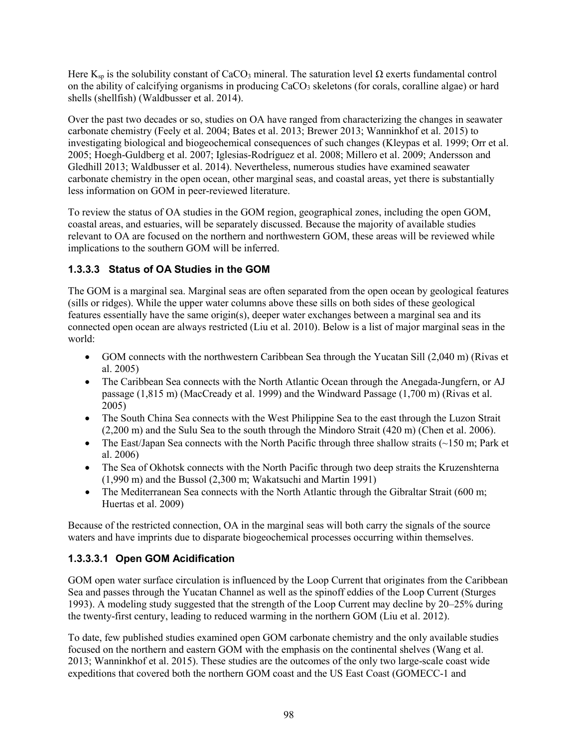Here  $K_{sp}$  is the solubility constant of CaCO<sub>3</sub> mineral. The saturation level  $\Omega$  exerts fundamental control on the ability of calcifying organisms in producing CaCO<sub>3</sub> skeletons (for corals, coralline algae) or hard shells (shellfish) (Waldbusser et al. 2014).

Over the past two decades or so, studies on OA have ranged from characterizing the changes in seawater carbonate chemistry (Feely et al. 2004; Bates et al. 2013; Brewer 2013; Wanninkhof et al. 2015) to investigating biological and biogeochemical consequences of such changes (Kleypas et al. 1999; Orr et al. 2005; Hoegh-Guldberg et al. 2007; Iglesias-Rodríguez et al. 2008; Millero et al. 2009; Andersson and Gledhill 2013; Waldbusser et al. 2014). Nevertheless, numerous studies have examined seawater carbonate chemistry in the open ocean, other marginal seas, and coastal areas, yet there is substantially less information on GOM in peer-reviewed literature.

To review the status of OA studies in the GOM region, geographical zones, including the open GOM, coastal areas, and estuaries, will be separately discussed. Because the majority of available studies relevant to OA are focused on the northern and northwestern GOM, these areas will be reviewed while implications to the southern GOM will be inferred.

# **1.3.3.3 Status of OA Studies in the GOM**

The GOM is a marginal sea. Marginal seas are often separated from the open ocean by geological features (sills or ridges). While the upper water columns above these sills on both sides of these geological features essentially have the same origin(s), deeper water exchanges between a marginal sea and its connected open ocean are always restricted (Liu et al. 2010). Below is a list of major marginal seas in the world:

- GOM connects with the northwestern Caribbean Sea through the Yucatan Sill (2,040 m) (Rivas et al. 2005)
- The Caribbean Sea connects with the North Atlantic Ocean through the Anegada-Jungfern, or AJ passage (1,815 m) (MacCready et al. 1999) and the Windward Passage (1,700 m) (Rivas et al. 2005)
- The South China Sea connects with the West Philippine Sea to the east through the Luzon Strait (2,200 m) and the Sulu Sea to the south through the Mindoro Strait (420 m) (Chen et al. 2006).
- The East/Japan Sea connects with the North Pacific through three shallow straits  $\left(\sim 150 \text{ m} \right)$ . Park et al. 2006)
- The Sea of Okhotsk connects with the North Pacific through two deep straits the Kruzenshterna (1,990 m) and the Bussol (2,300 m; Wakatsuchi and Martin 1991)
- The Mediterranean Sea connects with the North Atlantic through the Gibraltar Strait (600 m; Huertas et al. 2009)

Because of the restricted connection, OA in the marginal seas will both carry the signals of the source waters and have imprints due to disparate biogeochemical processes occurring within themselves.

## **1.3.3.3.1 Open GOM Acidification**

GOM open water surface circulation is influenced by the Loop Current that originates from the Caribbean Sea and passes through the Yucatan Channel as well as the spinoff eddies of the Loop Current (Sturges 1993). A modeling study suggested that the strength of the Loop Current may decline by 20–25% during the twenty-first century, leading to reduced warming in the northern GOM (Liu et al. 2012).

To date, few published studies examined open GOM carbonate chemistry and the only available studies focused on the northern and eastern GOM with the emphasis on the continental shelves (Wang et al. 2013; Wanninkhof et al. 2015). These studies are the outcomes of the only two large-scale coast wide expeditions that covered both the northern GOM coast and the US East Coast (GOMECC-1 and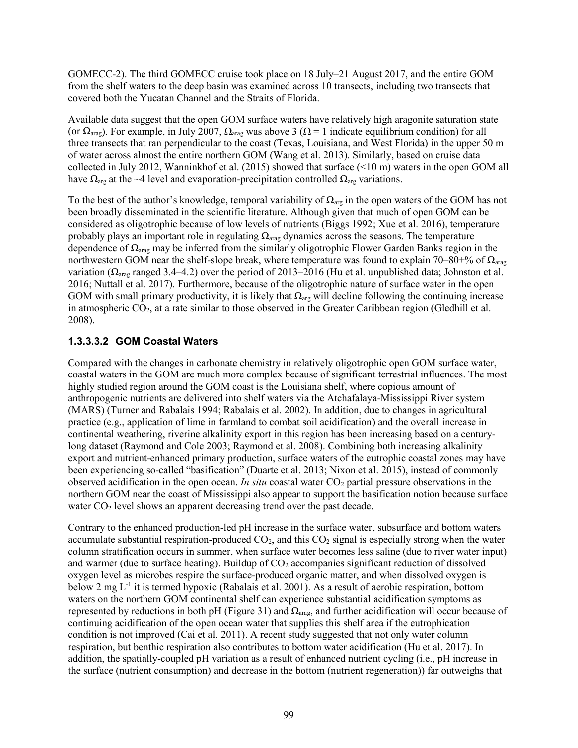GOMECC-2). The third GOMECC cruise took place on 18 July–21 August 2017, and the entire GOM from the shelf waters to the deep basin was examined across 10 transects, including two transects that covered both the Yucatan Channel and the Straits of Florida.

Available data suggest that the open GOM surface waters have relatively high aragonite saturation state (or  $\Omega_{\text{area}}$ ). For example, in July 2007,  $\Omega_{\text{area}}$  was above 3 ( $\Omega = 1$  indicate equilibrium condition) for all three transects that ran perpendicular to the coast (Texas, Louisiana, and West Florida) in the upper 50 m of water across almost the entire northern GOM (Wang et al. 2013). Similarly, based on cruise data collected in July 2012, Wanninkhof et al. (2015) showed that surface (<10 m) waters in the open GOM all have  $\Omega_{\text{arg}}$  at the ~4 level and evaporation-precipitation controlled  $\Omega_{\text{arg}}$  variations.

To the best of the author's knowledge, temporal variability of  $\Omega_{\text{arg}}$  in the open waters of the GOM has not been broadly disseminated in the scientific literature. Although given that much of open GOM can be considered as oligotrophic because of low levels of nutrients (Biggs 1992; Xue et al. 2016), temperature probably plays an important role in regulating  $\Omega_{\text{arag}}$  dynamics across the seasons. The temperature dependence of  $\Omega_{\text{area}}$  may be inferred from the similarly oligotrophic Flower Garden Banks region in the northwestern GOM near the shelf-slope break, where temperature was found to explain 70–80+% of  $\Omega_{\text{area}}$ variation ( $\Omega_{\text{drag}}$  ranged 3.4–4.2) over the period of 2013–2016 (Hu et al. unpublished data; Johnston et al. 2016; Nuttall et al. 2017). Furthermore, because of the oligotrophic nature of surface water in the open GOM with small primary productivity, it is likely that  $\Omega_{\text{arg}}$  will decline following the continuing increase in atmospheric CO2, at a rate similar to those observed in the Greater Caribbean region (Gledhill et al. 2008).

#### **1.3.3.3.2 GOM Coastal Waters**

Compared with the changes in carbonate chemistry in relatively oligotrophic open GOM surface water, coastal waters in the GOM are much more complex because of significant terrestrial influences. The most highly studied region around the GOM coast is the Louisiana shelf, where copious amount of anthropogenic nutrients are delivered into shelf waters via the Atchafalaya-Mississippi River system (MARS) (Turner and Rabalais 1994; Rabalais et al. 2002). In addition, due to changes in agricultural practice (e.g., application of lime in farmland to combat soil acidification) and the overall increase in continental weathering, riverine alkalinity export in this region has been increasing based on a centurylong dataset (Raymond and Cole 2003; Raymond et al. 2008). Combining both increasing alkalinity export and nutrient-enhanced primary production, surface waters of the eutrophic coastal zones may have been experiencing so-called "basification" (Duarte et al. 2013; Nixon et al. 2015), instead of commonly observed acidification in the open ocean. *In situ* coastal water CO<sub>2</sub> partial pressure observations in the northern GOM near the coast of Mississippi also appear to support the basification notion because surface water  $CO<sub>2</sub>$  level shows an apparent decreasing trend over the past decade.

Contrary to the enhanced production-led pH increase in the surface water, subsurface and bottom waters accumulate substantial respiration-produced  $CO<sub>2</sub>$ , and this  $CO<sub>2</sub>$  signal is especially strong when the water column stratification occurs in summer, when surface water becomes less saline (due to river water input) and warmer (due to surface heating). Buildup of  $CO<sub>2</sub>$  accompanies significant reduction of dissolved oxygen level as microbes respire the surface-produced organic matter, and when dissolved oxygen is below 2 mg L<sup>-1</sup> it is termed hypoxic (Rabalais et al. 2001). As a result of aerobic respiration, bottom waters on the northern GOM continental shelf can experience substantial acidification symptoms as represented by reductions in both pH (Figure 31) and  $\Omega_{\text{arag}}$ , and further acidification will occur because of continuing acidification of the open ocean water that supplies this shelf area if the eutrophication condition is not improved (Cai et al. 2011). A recent study suggested that not only water column respiration, but benthic respiration also contributes to bottom water acidification (Hu et al. 2017). In addition, the spatially-coupled pH variation as a result of enhanced nutrient cycling (i.e., pH increase in the surface (nutrient consumption) and decrease in the bottom (nutrient regeneration)) far outweighs that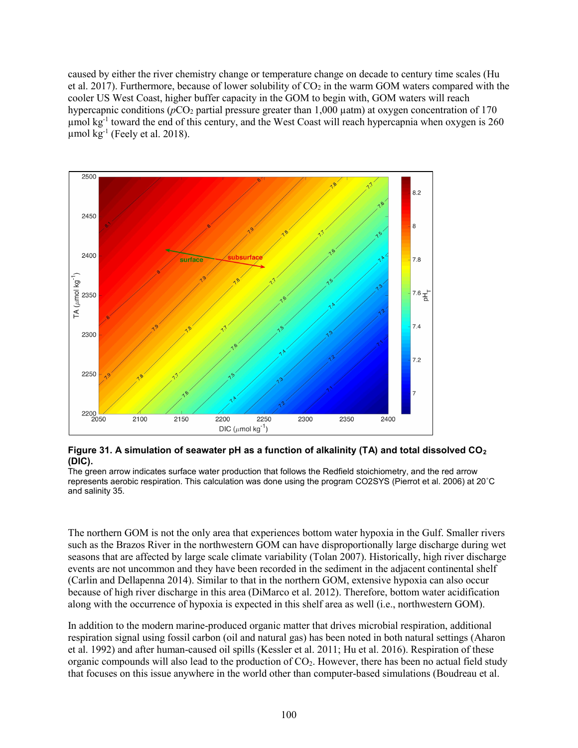caused by either the river chemistry change or temperature change on decade to century time scales (Hu et al. 2017). Furthermore, because of lower solubility of  $CO<sub>2</sub>$  in the warm GOM waters compared with the cooler US West Coast, higher buffer capacity in the GOM to begin with, GOM waters will reach hypercapnic conditions ( $pCO<sub>2</sub>$  partial pressure greater than 1,000 µatm) at oxygen concentration of 170 umol kg<sup>-1</sup> toward the end of this century, and the West Coast will reach hypercapnia when oxygen is 260  $\mu$ mol kg<sup>-1</sup> (Feely et al. 2018).



**Figure 31. A simulation of seawater pH as a function of alkalinity (TA) and total dissolved CO2 (DIC).** 

The green arrow indicates surface water production that follows the Redfield stoichiometry, and the red arrow represents aerobic respiration. This calculation was done using the program CO2SYS (Pierrot et al. 2006) at 20˚C and salinity 35.

The northern GOM is not the only area that experiences bottom water hypoxia in the Gulf. Smaller rivers such as the Brazos River in the northwestern GOM can have disproportionally large discharge during wet seasons that are affected by large scale climate variability (Tolan 2007). Historically, high river discharge events are not uncommon and they have been recorded in the sediment in the adjacent continental shelf (Carlin and Dellapenna 2014). Similar to that in the northern GOM, extensive hypoxia can also occur because of high river discharge in this area (DiMarco et al. 2012). Therefore, bottom water acidification along with the occurrence of hypoxia is expected in this shelf area as well (i.e., northwestern GOM).

In addition to the modern marine-produced organic matter that drives microbial respiration, additional respiration signal using fossil carbon (oil and natural gas) has been noted in both natural settings (Aharon et al. 1992) and after human-caused oil spills (Kessler et al. 2011; Hu et al. 2016). Respiration of these organic compounds will also lead to the production of  $CO<sub>2</sub>$ . However, there has been no actual field study that focuses on this issue anywhere in the world other than computer-based simulations (Boudreau et al.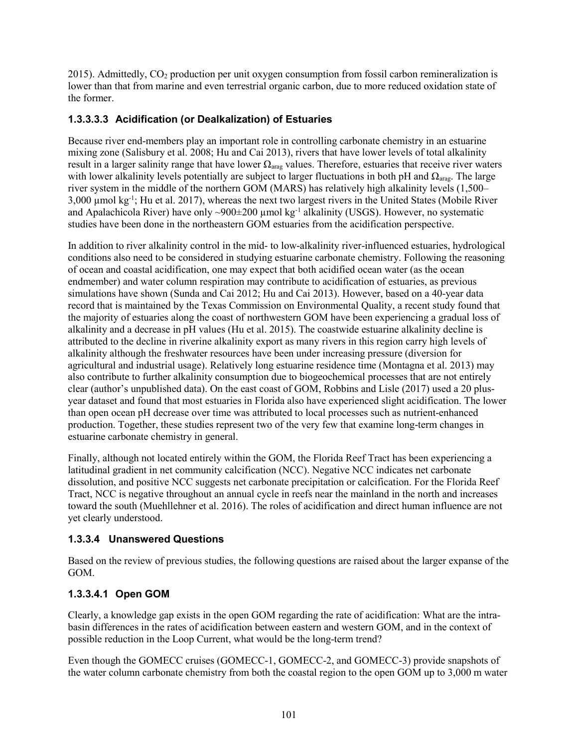2015). Admittedly, CO2 production per unit oxygen consumption from fossil carbon remineralization is lower than that from marine and even terrestrial organic carbon, due to more reduced oxidation state of the former.

#### **1.3.3.3.3 Acidification (or Dealkalization) of Estuaries**

Because river end-members play an important role in controlling carbonate chemistry in an estuarine mixing zone (Salisbury et al. 2008; Hu and Cai 2013), rivers that have lower levels of total alkalinity result in a larger salinity range that have lower  $\Omega_{\text{arag}}$  values. Therefore, estuaries that receive river waters with lower alkalinity levels potentially are subject to larger fluctuations in both pH and  $\Omega_{\text{area}}$ . The large river system in the middle of the northern GOM (MARS) has relatively high alkalinity levels (1,500– 3,000 µmol kg-1; Hu et al. 2017), whereas the next two largest rivers in the United States (Mobile River and Apalachicola River) have only ~900±200 µmol kg<sup>-1</sup> alkalinity (USGS). However, no systematic studies have been done in the northeastern GOM estuaries from the acidification perspective.

In addition to river alkalinity control in the mid- to low-alkalinity river-influenced estuaries, hydrological conditions also need to be considered in studying estuarine carbonate chemistry. Following the reasoning of ocean and coastal acidification, one may expect that both acidified ocean water (as the ocean endmember) and water column respiration may contribute to acidification of estuaries, as previous simulations have shown (Sunda and Cai 2012; Hu and Cai 2013). However, based on a 40-year data record that is maintained by the Texas Commission on Environmental Quality, a recent study found that the majority of estuaries along the coast of northwestern GOM have been experiencing a gradual loss of alkalinity and a decrease in pH values (Hu et al. 2015). The coastwide estuarine alkalinity decline is attributed to the decline in riverine alkalinity export as many rivers in this region carry high levels of alkalinity although the freshwater resources have been under increasing pressure (diversion for agricultural and industrial usage). Relatively long estuarine residence time (Montagna et al. 2013) may also contribute to further alkalinity consumption due to biogeochemical processes that are not entirely clear (author's unpublished data). On the east coast of GOM, Robbins and Lisle (2017) used a 20 plusyear dataset and found that most estuaries in Florida also have experienced slight acidification. The lower than open ocean pH decrease over time was attributed to local processes such as nutrient-enhanced production. Together, these studies represent two of the very few that examine long-term changes in estuarine carbonate chemistry in general.

Finally, although not located entirely within the GOM, the Florida Reef Tract has been experiencing a latitudinal gradient in net community calcification (NCC). Negative NCC indicates net carbonate dissolution, and positive NCC suggests net carbonate precipitation or calcification. For the Florida Reef Tract, NCC is negative throughout an annual cycle in reefs near the mainland in the north and increases toward the south (Muehllehner et al. 2016). The roles of acidification and direct human influence are not yet clearly understood.

## **1.3.3.4 Unanswered Questions**

Based on the review of previous studies, the following questions are raised about the larger expanse of the GOM.

## **1.3.3.4.1 Open GOM**

Clearly, a knowledge gap exists in the open GOM regarding the rate of acidification: What are the intrabasin differences in the rates of acidification between eastern and western GOM, and in the context of possible reduction in the Loop Current, what would be the long-term trend?

Even though the GOMECC cruises (GOMECC-1, GOMECC-2, and GOMECC-3) provide snapshots of the water column carbonate chemistry from both the coastal region to the open GOM up to 3,000 m water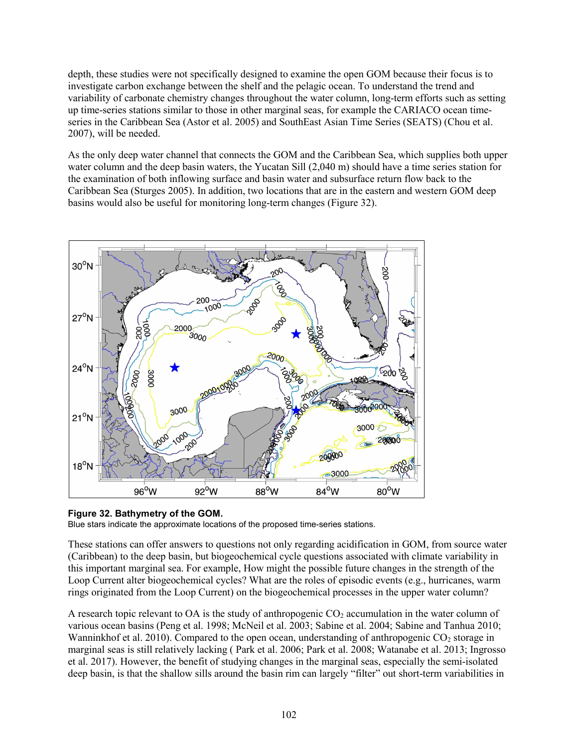depth, these studies were not specifically designed to examine the open GOM because their focus is to investigate carbon exchange between the shelf and the pelagic ocean. To understand the trend and variability of carbonate chemistry changes throughout the water column, long-term efforts such as setting up time-series stations similar to those in other marginal seas, for example the CARIACO ocean timeseries in the Caribbean Sea (Astor et al. 2005) and SouthEast Asian Time Series (SEATS) (Chou et al. 2007), will be needed.

As the only deep water channel that connects the GOM and the Caribbean Sea, which supplies both upper water column and the deep basin waters, the Yucatan Sill (2,040 m) should have a time series station for the examination of both inflowing surface and basin water and subsurface return flow back to the Caribbean Sea (Sturges 2005). In addition, two locations that are in the eastern and western GOM deep basins would also be useful for monitoring long-term changes (Figure 32).



#### **Figure 32. Bathymetry of the GOM.**

Blue stars indicate the approximate locations of the proposed time-series stations.

These stations can offer answers to questions not only regarding acidification in GOM, from source water (Caribbean) to the deep basin, but biogeochemical cycle questions associated with climate variability in this important marginal sea. For example, How might the possible future changes in the strength of the Loop Current alter biogeochemical cycles? What are the roles of episodic events (e.g., hurricanes, warm rings originated from the Loop Current) on the biogeochemical processes in the upper water column?

A research topic relevant to OA is the study of anthropogenic  $CO<sub>2</sub>$  accumulation in the water column of various ocean basins (Peng et al. 1998; McNeil et al. 2003; Sabine et al. 2004; Sabine and Tanhua 2010; Wanninkhof et al. 2010). Compared to the open ocean, understanding of anthropogenic  $CO<sub>2</sub>$  storage in marginal seas is still relatively lacking ( Park et al. 2006; Park et al. 2008; Watanabe et al. 2013; Ingrosso et al. 2017). However, the benefit of studying changes in the marginal seas, especially the semi-isolated deep basin, is that the shallow sills around the basin rim can largely "filter" out short-term variabilities in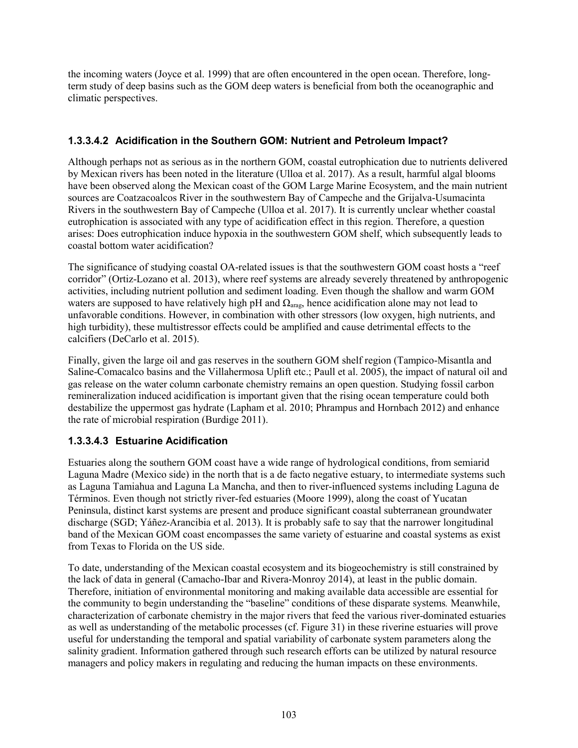the incoming waters (Joyce et al. 1999) that are often encountered in the open ocean. Therefore, longterm study of deep basins such as the GOM deep waters is beneficial from both the oceanographic and climatic perspectives.

## **1.3.3.4.2 Acidification in the Southern GOM: Nutrient and Petroleum Impact?**

Although perhaps not as serious as in the northern GOM, coastal eutrophication due to nutrients delivered by Mexican rivers has been noted in the literature (Ulloa et al. 2017). As a result, harmful algal blooms have been observed along the Mexican coast of the GOM Large Marine Ecosystem, and the main nutrient sources are Coatzacoalcos River in the southwestern Bay of Campeche and the Grijalva-Usumacinta Rivers in the southwestern Bay of Campeche (Ulloa et al. 2017). It is currently unclear whether coastal eutrophication is associated with any type of acidification effect in this region. Therefore, a question arises: Does eutrophication induce hypoxia in the southwestern GOM shelf, which subsequently leads to coastal bottom water acidification?

The significance of studying coastal OA-related issues is that the southwestern GOM coast hosts a "reef corridor" (Ortiz-Lozano et al. 2013), where reef systems are already severely threatened by anthropogenic activities, including nutrient pollution and sediment loading. Even though the shallow and warm GOM waters are supposed to have relatively high pH and  $\Omega_{\text{area}}$ , hence acidification alone may not lead to unfavorable conditions. However, in combination with other stressors (low oxygen, high nutrients, and high turbidity), these multistressor effects could be amplified and cause detrimental effects to the calcifiers (DeCarlo et al. 2015).

Finally, given the large oil and gas reserves in the southern GOM shelf region (Tampico-Misantla and Saline-Comacalco basins and the Villahermosa Uplift etc.; Paull et al. 2005), the impact of natural oil and gas release on the water column carbonate chemistry remains an open question. Studying fossil carbon remineralization induced acidification is important given that the rising ocean temperature could both destabilize the uppermost gas hydrate (Lapham et al. 2010; Phrampus and Hornbach 2012) and enhance the rate of microbial respiration (Burdige 2011).

# **1.3.3.4.3 Estuarine Acidification**

Estuaries along the southern GOM coast have a wide range of hydrological conditions, from semiarid Laguna Madre (Mexico side) in the north that is a de facto negative estuary, to intermediate systems such as Laguna Tamiahua and Laguna La Mancha, and then to river-influenced systems including Laguna de Términos. Even though not strictly river-fed estuaries (Moore 1999), along the coast of Yucatan Peninsula, distinct karst systems are present and produce significant coastal subterranean groundwater discharge (SGD; Yáñez-Arancibia et al. 2013). It is probably safe to say that the narrower longitudinal band of the Mexican GOM coast encompasses the same variety of estuarine and coastal systems as exist from Texas to Florida on the US side.

To date, understanding of the Mexican coastal ecosystem and its biogeochemistry is still constrained by the lack of data in general (Camacho-Ibar and Rivera-Monroy 2014), at least in the public domain. Therefore, initiation of environmental monitoring and making available data accessible are essential for the community to begin understanding the "baseline" conditions of these disparate systems*.* Meanwhile, characterization of carbonate chemistry in the major rivers that feed the various river-dominated estuaries as well as understanding of the metabolic processes (cf. Figure 31) in these riverine estuaries will prove useful for understanding the temporal and spatial variability of carbonate system parameters along the salinity gradient. Information gathered through such research efforts can be utilized by natural resource managers and policy makers in regulating and reducing the human impacts on these environments.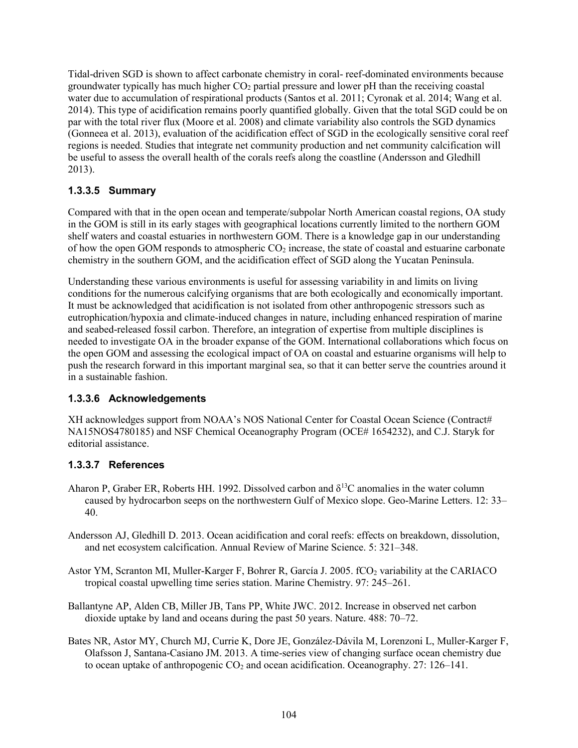Tidal-driven SGD is shown to affect carbonate chemistry in coral- reef-dominated environments because groundwater typically has much higher  $CO<sub>2</sub>$  partial pressure and lower pH than the receiving coastal water due to accumulation of respirational products (Santos et al. 2011; Cyronak et al. 2014; Wang et al. 2014). This type of acidification remains poorly quantified globally. Given that the total SGD could be on par with the total river flux (Moore et al. 2008) and climate variability also controls the SGD dynamics (Gonneea et al. 2013), evaluation of the acidification effect of SGD in the ecologically sensitive coral reef regions is needed. Studies that integrate net community production and net community calcification will be useful to assess the overall health of the corals reefs along the coastline (Andersson and Gledhill 2013).

#### **1.3.3.5 Summary**

Compared with that in the open ocean and temperate/subpolar North American coastal regions, OA study in the GOM is still in its early stages with geographical locations currently limited to the northern GOM shelf waters and coastal estuaries in northwestern GOM. There is a knowledge gap in our understanding of how the open GOM responds to atmospheric  $CO<sub>2</sub>$  increase, the state of coastal and estuarine carbonate chemistry in the southern GOM, and the acidification effect of SGD along the Yucatan Peninsula.

Understanding these various environments is useful for assessing variability in and limits on living conditions for the numerous calcifying organisms that are both ecologically and economically important. It must be acknowledged that acidification is not isolated from other anthropogenic stressors such as eutrophication/hypoxia and climate-induced changes in nature, including enhanced respiration of marine and seabed-released fossil carbon. Therefore, an integration of expertise from multiple disciplines is needed to investigate OA in the broader expanse of the GOM. International collaborations which focus on the open GOM and assessing the ecological impact of OA on coastal and estuarine organisms will help to push the research forward in this important marginal sea, so that it can better serve the countries around it in a sustainable fashion.

#### **1.3.3.6 Acknowledgements**

XH acknowledges support from NOAA's NOS National Center for Coastal Ocean Science (Contract# NA15NOS4780185) and NSF Chemical Oceanography Program (OCE# 1654232), and C.J. Staryk for editorial assistance.

#### **1.3.3.7 References**

- Aharon P, Graber ER, Roberts HH. 1992. Dissolved carbon and  $\delta^{13}C$  anomalies in the water column caused by hydrocarbon seeps on the northwestern Gulf of Mexico slope. Geo-Marine Letters. 12: 33– 40.
- Andersson AJ, Gledhill D. 2013. Ocean acidification and coral reefs: effects on breakdown, dissolution, and net ecosystem calcification. Annual Review of Marine Science. 5: 321–348.
- Astor YM, Scranton MI, Muller-Karger F, Bohrer R, García J. 2005. fCO<sub>2</sub> variability at the CARIACO tropical coastal upwelling time series station. Marine Chemistry. 97: 245–261.
- Ballantyne AP, Alden CB, Miller JB, Tans PP, White JWC. 2012. Increase in observed net carbon dioxide uptake by land and oceans during the past 50 years. Nature. 488: 70–72.
- Bates NR, Astor MY, Church MJ, Currie K, Dore JE, González-Dávila M, Lorenzoni L, Muller-Karger F, Olafsson J, Santana-Casiano JM. 2013. A time-series view of changing surface ocean chemistry due to ocean uptake of anthropogenic  $CO_2$  and ocean acidification. Oceanography. 27: 126–141.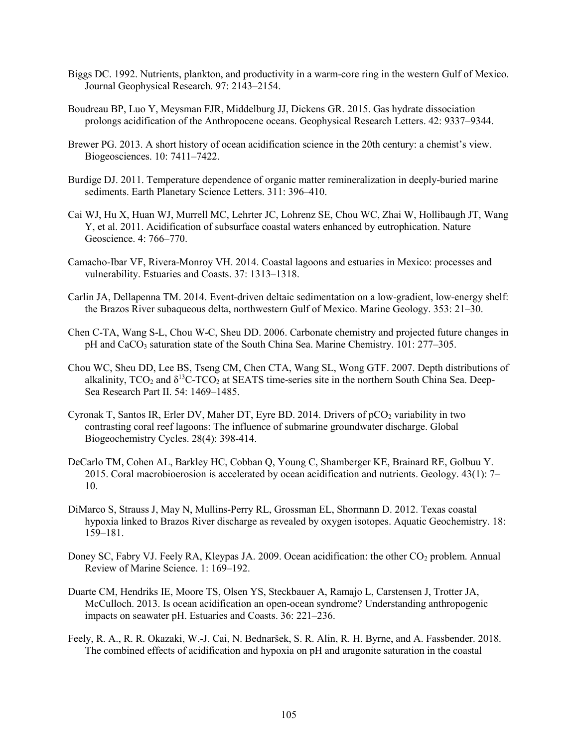- Biggs DC. 1992. Nutrients, plankton, and productivity in a warm-core ring in the western Gulf of Mexico. Journal Geophysical Research. 97: 2143–2154.
- Boudreau BP, Luo Y, Meysman FJR, Middelburg JJ, Dickens GR. 2015. Gas hydrate dissociation prolongs acidification of the Anthropocene oceans. Geophysical Research Letters. 42: 9337–9344.
- Brewer PG. 2013. A short history of ocean acidification science in the 20th century: a chemist's view. Biogeosciences. 10: 7411–7422.
- Burdige DJ. 2011. Temperature dependence of organic matter remineralization in deeply-buried marine sediments. Earth Planetary Science Letters. 311: 396–410.
- Cai WJ, Hu X, Huan WJ, Murrell MC, Lehrter JC, Lohrenz SE, Chou WC, Zhai W, Hollibaugh JT, Wang Y, et al. 2011. Acidification of subsurface coastal waters enhanced by eutrophication. Nature Geoscience. 4: 766–770.
- Camacho-Ibar VF, Rivera-Monroy VH. 2014. Coastal lagoons and estuaries in Mexico: processes and vulnerability. Estuaries and Coasts. 37: 1313–1318.
- Carlin JA, Dellapenna TM. 2014. Event-driven deltaic sedimentation on a low-gradient, low-energy shelf: the Brazos River subaqueous delta, northwestern Gulf of Mexico. Marine Geology. 353: 21–30.
- Chen C-TA, Wang S-L, Chou W-C, Sheu DD. 2006. Carbonate chemistry and projected future changes in pH and CaCO<sub>3</sub> saturation state of the South China Sea. Marine Chemistry. 101: 277–305.
- Chou WC, Sheu DD, Lee BS, Tseng CM, Chen CTA, Wang SL, Wong GTF. 2007. Depth distributions of alkalinity,  $TCO_2$  and  $\delta^{13}$ C-TCO<sub>2</sub> at SEATS time-series site in the northern South China Sea. Deep-Sea Research Part II. 54: 1469–1485.
- Cyronak T, Santos IR, Erler DV, Maher DT, Eyre BD. 2014. Drivers of pCO<sub>2</sub> variability in two contrasting coral reef lagoons: The influence of submarine groundwater discharge. Global Biogeochemistry Cycles. 28(4): 398-414.
- DeCarlo TM, Cohen AL, Barkley HC, Cobban Q, Young C, Shamberger KE, Brainard RE, Golbuu Y. 2015. Coral macrobioerosion is accelerated by ocean acidification and nutrients. Geology. 43(1): 7– 10.
- DiMarco S, Strauss J, May N, Mullins-Perry RL, Grossman EL, Shormann D. 2012. Texas coastal hypoxia linked to Brazos River discharge as revealed by oxygen isotopes. Aquatic Geochemistry. 18: 159–181.
- Doney SC, Fabry VJ. Feely RA, Kleypas JA. 2009. Ocean acidification: the other CO<sub>2</sub> problem. Annual Review of Marine Science. 1: 169–192.
- Duarte CM, Hendriks IE, Moore TS, Olsen YS, Steckbauer A, Ramajo L, Carstensen J, Trotter JA, McCulloch. 2013. Is ocean acidification an open-ocean syndrome? Understanding anthropogenic impacts on seawater pH. Estuaries and Coasts. 36: 221–236.
- Feely, R. A., R. R. Okazaki, W.-J. Cai, N. Bednaršek, S. R. Alin, R. H. Byrne, and A. Fassbender. 2018. The combined effects of acidification and hypoxia on pH and aragonite saturation in the coastal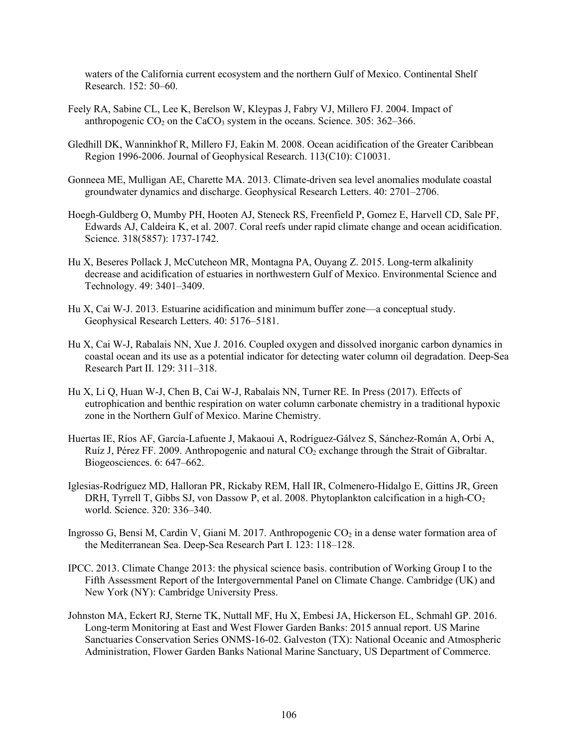waters of the California current ecosystem and the northern Gulf of Mexico. Continental Shelf Research. 152: 50–60.

- Feely RA, Sabine CL, Lee K, Berelson W, Kleypas J, Fabry VJ, Millero FJ. 2004. Impact of anthropogenic  $CO_2$  on the CaCO<sub>3</sub> system in the oceans. Science. 305: 362–366.
- Gledhill DK, Wanninkhof R, Millero FJ, Eakin M. 2008. Ocean acidification of the Greater Caribbean Region 1996-2006. Journal of Geophysical Research. 113(C10): C10031.
- Gonneea ME, Mulligan AE, Charette MA. 2013. Climate-driven sea level anomalies modulate coastal groundwater dynamics and discharge. Geophysical Research Letters. 40: 2701–2706.
- Hoegh-Guldberg O, Mumby PH, Hooten AJ, Steneck RS, Freenfield P, Gomez E, Harvell CD, Sale PF, Edwards AJ, Caldeira K, et al. 2007. Coral reefs under rapid climate change and ocean acidification. Science. 318(5857): 1737-1742.
- Hu X, Beseres Pollack J, McCutcheon MR, Montagna PA, Ouyang Z. 2015. Long-term alkalinity decrease and acidification of estuaries in northwestern Gulf of Mexico. Environmental Science and Technology. 49: 3401–3409.
- Hu X, Cai W-J. 2013. Estuarine acidification and minimum buffer zone—a conceptual study. Geophysical Research Letters. 40: 5176–5181.
- Hu X, Cai W-J, Rabalais NN, Xue J. 2016. Coupled oxygen and dissolved inorganic carbon dynamics in coastal ocean and its use as a potential indicator for detecting water column oil degradation. Deep-Sea Research Part II. 129: 311–318.
- Hu X, Li Q, Huan W-J, Chen B, Cai W-J, Rabalais NN, Turner RE. In Press (2017). Effects of eutrophication and benthic respiration on water column carbonate chemistry in a traditional hypoxic zone in the Northern Gulf of Mexico. Marine Chemistry.
- Huertas IE, Ríos AF, García-Lafuente J, Makaoui A, Rodríguez-Gálvez S, Sánchez-Román A, Orbi A, Ruíz J, Pérez FF. 2009. Anthropogenic and natural  $CO<sub>2</sub>$  exchange through the Strait of Gibraltar. Biogeosciences. 6: 647–662.
- Iglesias-Rodríguez MD, Halloran PR, Rickaby REM, Hall IR, Colmenero-Hidalgo E, Gittins JR, Green DRH, Tyrrell T, Gibbs SJ, von Dassow P, et al. 2008. Phytoplankton calcification in a high- $CO<sub>2</sub>$ world. Science. 320: 336–340.
- Ingrosso G, Bensi M, Cardin V, Giani M. 2017. Anthropogenic  $CO<sub>2</sub>$  in a dense water formation area of the Mediterranean Sea. Deep-Sea Research Part I. 123: 118–128.
- IPCC. 2013. Climate Change 2013: the physical science basis. contribution of Working Group I to the Fifth Assessment Report of the Intergovernmental Panel on Climate Change. Cambridge (UK) and New York (NY): Cambridge University Press.
- Johnston MA, Eckert RJ, Sterne TK, Nuttall MF, Hu X, Embesi JA, Hickerson EL, Schmahl GP. 2016. Long-term Monitoring at East and West Flower Garden Banks: 2015 annual report. US Marine Sanctuaries Conservation Series ONMS-16-02. Galveston (TX): National Oceanic and Atmospheric Administration, Flower Garden Banks National Marine Sanctuary, US Department of Commerce.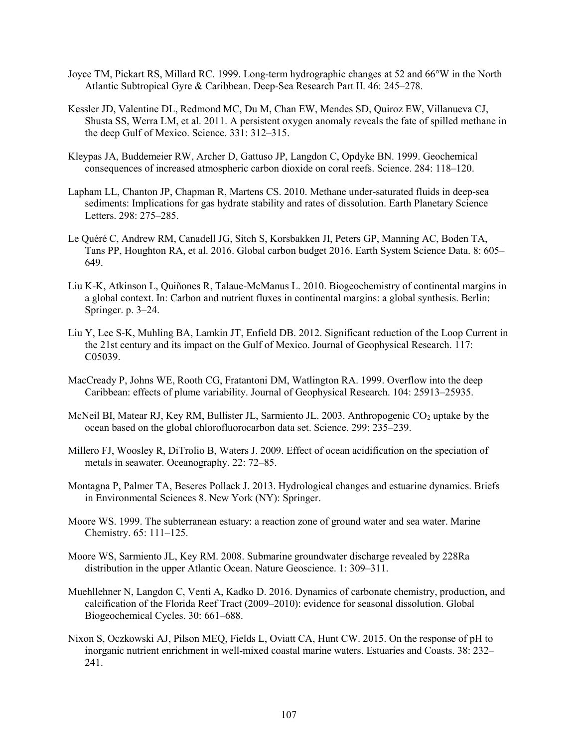- Joyce TM, Pickart RS, Millard RC. 1999. Long-term hydrographic changes at 52 and 66°W in the North Atlantic Subtropical Gyre & Caribbean. Deep-Sea Research Part II. 46: 245–278.
- Kessler JD, Valentine DL, Redmond MC, Du M, Chan EW, Mendes SD, Quiroz EW, Villanueva CJ, Shusta SS, Werra LM, et al. 2011. A persistent oxygen anomaly reveals the fate of spilled methane in the deep Gulf of Mexico. Science. 331: 312–315.
- Kleypas JA, Buddemeier RW, Archer D, Gattuso JP, Langdon C, Opdyke BN. 1999. Geochemical consequences of increased atmospheric carbon dioxide on coral reefs. Science. 284: 118–120.
- Lapham LL, Chanton JP, Chapman R, Martens CS. 2010. Methane under-saturated fluids in deep-sea sediments: Implications for gas hydrate stability and rates of dissolution. Earth Planetary Science Letters. 298: 275–285.
- Le Quéré C, Andrew RM, Canadell JG, Sitch S, Korsbakken JI, Peters GP, Manning AC, Boden TA, Tans PP, Houghton RA, et al. 2016. Global carbon budget 2016. Earth System Science Data. 8: 605– 649.
- Liu K-K, Atkinson L, Quiñones R, Talaue-McManus L. 2010. Biogeochemistry of continental margins in a global context. In: Carbon and nutrient fluxes in continental margins: a global synthesis. Berlin: Springer. p. 3–24.
- Liu Y, Lee S-K, Muhling BA, Lamkin JT, Enfield DB. 2012. Significant reduction of the Loop Current in the 21st century and its impact on the Gulf of Mexico. Journal of Geophysical Research. 117: C05039.
- MacCready P, Johns WE, Rooth CG, Fratantoni DM, Watlington RA. 1999. Overflow into the deep Caribbean: effects of plume variability. Journal of Geophysical Research. 104: 25913–25935.
- McNeil BI, Matear RJ, Key RM, Bullister JL, Sarmiento JL. 2003. Anthropogenic  $CO<sub>2</sub>$  uptake by the ocean based on the global chlorofluorocarbon data set. Science. 299: 235–239.
- Millero FJ, Woosley R, DiTrolio B, Waters J. 2009. Effect of ocean acidification on the speciation of metals in seawater. Oceanography. 22: 72–85.
- Montagna P, Palmer TA, Beseres Pollack J. 2013. Hydrological changes and estuarine dynamics. Briefs in Environmental Sciences 8. New York (NY): Springer.
- Moore WS. 1999. The subterranean estuary: a reaction zone of ground water and sea water. Marine Chemistry. 65: 111–125.
- Moore WS, Sarmiento JL, Key RM. 2008. Submarine groundwater discharge revealed by 228Ra distribution in the upper Atlantic Ocean. Nature Geoscience. 1: 309–311.
- Muehllehner N, Langdon C, Venti A, Kadko D. 2016. Dynamics of carbonate chemistry, production, and calcification of the Florida Reef Tract (2009–2010): evidence for seasonal dissolution. Global Biogeochemical Cycles. 30: 661–688.
- Nixon S, Oczkowski AJ, Pilson MEQ, Fields L, Oviatt CA, Hunt CW. 2015. On the response of pH to inorganic nutrient enrichment in well-mixed coastal marine waters. Estuaries and Coasts. 38: 232– 241.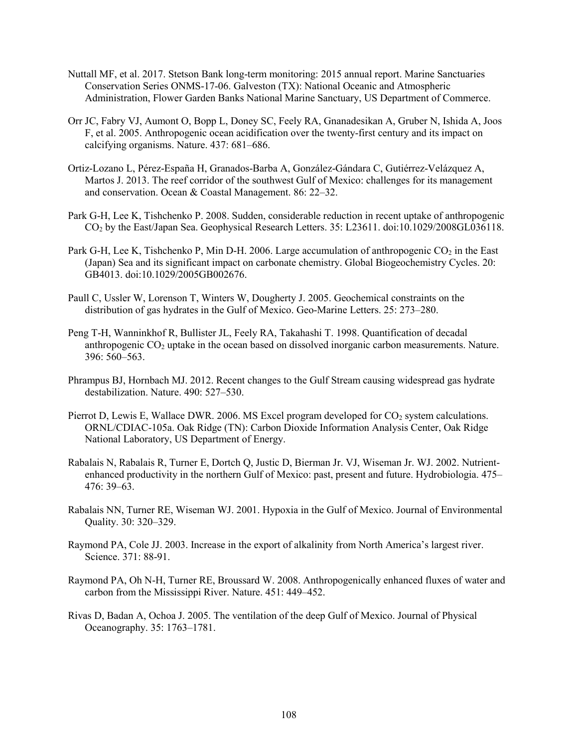- Nuttall MF, et al. 2017. Stetson Bank long-term monitoring: 2015 annual report. Marine Sanctuaries Conservation Series ONMS-17-06. Galveston (TX): National Oceanic and Atmospheric Administration, Flower Garden Banks National Marine Sanctuary, US Department of Commerce.
- Orr JC, Fabry VJ, Aumont O, Bopp L, Doney SC, Feely RA, Gnanadesikan A, Gruber N, Ishida A, Joos F, et al. 2005. Anthropogenic ocean acidification over the twenty-first century and its impact on calcifying organisms. Nature. 437: 681–686.
- Ortiz-Lozano L, Pérez-España H, Granados-Barba A, González-Gándara C, Gutiérrez-Velázquez A, Martos J. 2013. The reef corridor of the southwest Gulf of Mexico: challenges for its management and conservation. Ocean & Coastal Management. 86: 22–32.
- Park G-H, Lee K, Tishchenko P. 2008. Sudden, considerable reduction in recent uptake of anthropogenic CO2 by the East/Japan Sea. Geophysical Research Letters. 35: L23611. doi:10.1029/2008GL036118.
- Park G-H, Lee K, Tishchenko P, Min D-H. 2006. Large accumulation of anthropogenic  $CO<sub>2</sub>$  in the East (Japan) Sea and its significant impact on carbonate chemistry. Global Biogeochemistry Cycles. 20: GB4013. doi:10.1029/2005GB002676.
- Paull C, Ussler W, Lorenson T, Winters W, Dougherty J. 2005. Geochemical constraints on the distribution of gas hydrates in the Gulf of Mexico. Geo-Marine Letters. 25: 273–280.
- Peng T-H, Wanninkhof R, Bullister JL, Feely RA, Takahashi T. 1998. Quantification of decadal anthropogenic  $CO<sub>2</sub>$  uptake in the ocean based on dissolved inorganic carbon measurements. Nature. 396: 560–563.
- Phrampus BJ, Hornbach MJ. 2012. Recent changes to the Gulf Stream causing widespread gas hydrate destabilization. Nature. 490: 527–530.
- Pierrot D, Lewis E, Wallace DWR. 2006. MS Excel program developed for CO<sub>2</sub> system calculations. ORNL/CDIAC-105a. Oak Ridge (TN): Carbon Dioxide Information Analysis Center, Oak Ridge National Laboratory, US Department of Energy.
- Rabalais N, Rabalais R, Turner E, Dortch Q, Justic D, Bierman Jr. VJ, Wiseman Jr. WJ. 2002. Nutrientenhanced productivity in the northern Gulf of Mexico: past, present and future. Hydrobiologia. 475– 476: 39–63.
- Rabalais NN, Turner RE, Wiseman WJ. 2001. Hypoxia in the Gulf of Mexico. Journal of Environmental Quality. 30: 320–329.
- Raymond PA, Cole JJ. 2003. Increase in the export of alkalinity from North America's largest river. Science. 371: 88-91.
- Raymond PA, Oh N-H, Turner RE, Broussard W. 2008. Anthropogenically enhanced fluxes of water and carbon from the Mississippi River. Nature. 451: 449–452.
- Rivas D, Badan A, Ochoa J. 2005. The ventilation of the deep Gulf of Mexico. Journal of Physical Oceanography. 35: 1763–1781.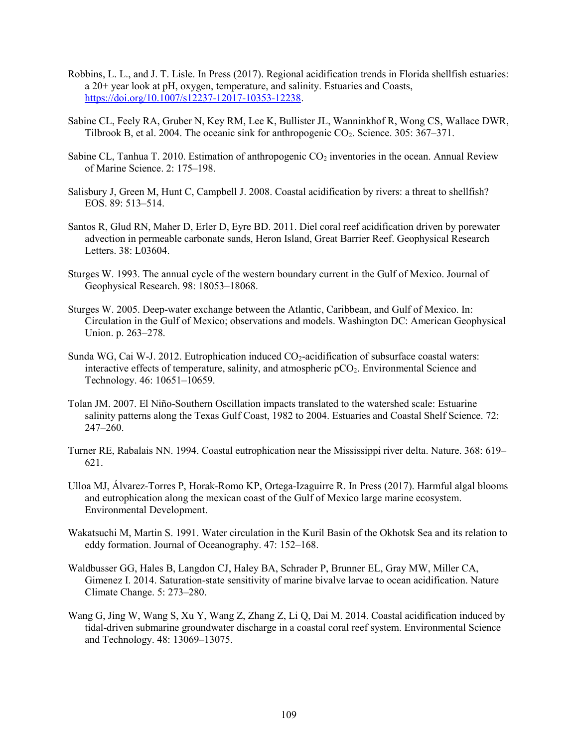- Robbins, L. L., and J. T. Lisle. In Press (2017). Regional acidification trends in Florida shellfish estuaries: a 20+ year look at pH, oxygen, temperature, and salinity. Estuaries and Coasts, https://doi.org/10.1007/s12237-12017-10353-12238.
- Sabine CL, Feely RA, Gruber N, Key RM, Lee K, Bullister JL, Wanninkhof R, Wong CS, Wallace DWR, Tilbrook B, et al. 2004. The oceanic sink for anthropogenic CO2. Science. 305: 367–371.
- Sabine CL, Tanhua T. 2010. Estimation of anthropogenic  $CO_2$  inventories in the ocean. Annual Review of Marine Science. 2: 175–198.
- Salisbury J, Green M, Hunt C, Campbell J. 2008. Coastal acidification by rivers: a threat to shellfish? EOS. 89: 513–514.
- Santos R, Glud RN, Maher D, Erler D, Eyre BD. 2011. Diel coral reef acidification driven by porewater advection in permeable carbonate sands, Heron Island, Great Barrier Reef. Geophysical Research Letters. 38: L03604.
- Sturges W. 1993. The annual cycle of the western boundary current in the Gulf of Mexico. Journal of Geophysical Research. 98: 18053–18068.
- Sturges W. 2005. Deep-water exchange between the Atlantic, Caribbean, and Gulf of Mexico. In: Circulation in the Gulf of Mexico; observations and models. Washington DC: American Geophysical Union. p. 263–278.
- Sunda WG, Cai W-J. 2012. Eutrophication induced  $CO<sub>2</sub>$ -acidification of subsurface coastal waters: interactive effects of temperature, salinity, and atmospheric pCO<sub>2</sub>. Environmental Science and Technology. 46: 10651–10659.
- Tolan JM. 2007. El Niño-Southern Oscillation impacts translated to the watershed scale: Estuarine salinity patterns along the Texas Gulf Coast, 1982 to 2004. Estuaries and Coastal Shelf Science. 72: 247–260.
- Turner RE, Rabalais NN. 1994. Coastal eutrophication near the Mississippi river delta. Nature. 368: 619– 621.
- Ulloa MJ, Álvarez-Torres P, Horak-Romo KP, Ortega-Izaguirre R. In Press (2017). Harmful algal blooms and eutrophication along the mexican coast of the Gulf of Mexico large marine ecosystem. Environmental Development.
- Wakatsuchi M, Martin S. 1991. Water circulation in the Kuril Basin of the Okhotsk Sea and its relation to eddy formation. Journal of Oceanography. 47: 152–168.
- Waldbusser GG, Hales B, Langdon CJ, Haley BA, Schrader P, Brunner EL, Gray MW, Miller CA, Gimenez I. 2014. Saturation-state sensitivity of marine bivalve larvae to ocean acidification. Nature Climate Change. 5: 273–280.
- Wang G, Jing W, Wang S, Xu Y, Wang Z, Zhang Z, Li Q, Dai M. 2014. Coastal acidification induced by tidal-driven submarine groundwater discharge in a coastal coral reef system. Environmental Science and Technology. 48: 13069–13075.